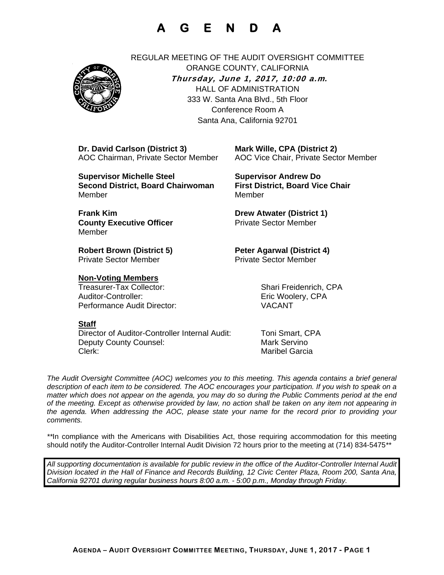# **A G E N D A**



REGULAR MEETING OF THE AUDIT OVERSIGHT COMMITTEE ORANGE COUNTY, CALIFORNIA **Thursday, June 1, 2017, 10:00 a.m***.* HALL OF ADMINISTRATION 333 W. Santa Ana Blvd., 5th Floor Conference Room A Santa Ana, California 92701

 **Dr. David Carlson (District 3) Mark Wille, CPA (District 2)**

 **Supervisor Michelle Steel Supervisor Andrew Do Second District, Board Chairwoman First District, Board Vice Chair Member** Member

**Frank Kim Community Community Community Drew Atwater (District 1) County Executive Officer**  The Sector Member Member

**Private Sector Member Private Sector Member** 

### **Non-Voting Members**

Auditor-Controller: Enc Woolery, CPA Performance Audit Director: VACANT

### **Staff**

 Director of Auditor-Controller Internal Audit: Toni Smart, CPA Deputy County Counsel: Mark Servino Clerk: Maribel Garcia

AOC Chairman, Private Sector Member AOC Vice Chair, Private Sector Member

**Robert Brown (District 5) Peter Agarwal (District 4)** 

Treasurer-Tax Collector: Shari Freidenrich, CPA

*The Audit Oversight Committee (AOC) welcomes you to this meeting. This agenda contains a brief general*  description of each item to be considered. The AOC encourages your participation. If you wish to speak on a *matter which does not appear on the agenda, you may do so during the Public Comments period at the end of the meeting. Except as otherwise provided by law, no action shall be taken on any item not appearing in the agenda. When addressing the AOC, please state your name for the record prior to providing your comments.* 

*\*\**In compliance with the Americans with Disabilities Act, those requiring accommodation for this meeting should notify the Auditor-Controller Internal Audit Division 72 hours prior to the meeting at (714) 834-5475*\*\** 

*All supporting documentation is available for public review in the office of the Auditor-Controller Internal Audit Division located in the Hall of Finance and Records Building, 12 Civic Center Plaza, Room 200, Santa Ana, California 92701 during regular business hours 8:00 a.m. - 5:00 p.m., Monday through Friday.*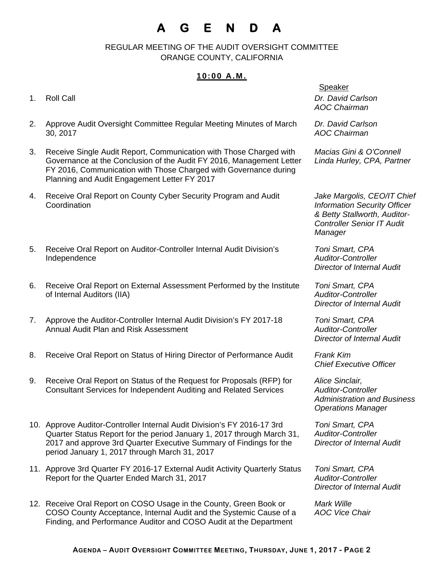# **A G E N D A**

 REGULAR MEETING OF THE AUDIT OVERSIGHT COMMITTEE ORANGE COUNTY, CALIFORNIA

## **10:00 A.M.**

- 
- 2. Approve Audit Oversight Committee Regular Meeting Minutes of March 30, 2017
- 3. Receive Single Audit Report, Communication with Those Charged with Governance at the Conclusion of the Audit FY 2016, Management Letter FY 2016, Communication with Those Charged with Governance during Planning and Audit Engagement Letter FY 2017
- 4. Receive Oral Report on County Cyber Security Program and Audit **Coordination**
- 5. Receive Oral Report on Auditor-Controller Internal Audit Division's Independence
- 6. Receive Oral Report on External Assessment Performed by the Institute of Internal Auditors (IIA)
- 7. Approve the Auditor-Controller Internal Audit Division's FY 2017-18 Annual Audit Plan and Risk Assessment
- 8. Receive Oral Report on Status of Hiring Director of Performance Audit *Frank Kim*
- 9. Receive Oral Report on Status of the Request for Proposals (RFP) for Consultant Services for Independent Auditing and Related Services
- 10. Approve Auditor-Controller Internal Audit Division's FY 2016-17 3rd Quarter Status Report for the period January 1, 2017 through March 31, 2017 and approve 3rd Quarter Executive Summary of Findings for the period January 1, 2017 through March 31, 2017
- 11. Approve 3rd Quarter FY 2016-17 External Audit Activity Quarterly Status Report for the Quarter Ended March 31, 2017
- 12. Receive Oral Report on COSO Usage in the County, Green Book or COSO County Acceptance, Internal Audit and the Systemic Cause of a Finding, and Performance Auditor and COSO Audit at the Department

Speaker 1. Roll Call *Dr. David Carlson AOC Chairman* 

> *Dr. David Carlson AOC Chairman*

*Macias Gini & O'Connell Linda Hurley, CPA, Partner* 

*Jake Margolis, CEO/IT Chief Information Security Officer & Betty Stallworth, Auditor-Controller Senior IT Audit Manager* 

*Toni Smart, CPA Auditor-Controller Director of Internal Audit* 

*Toni Smart, CPA Auditor-Controller Director of Internal Audit* 

*Toni Smart, CPA Auditor-Controller Director of Internal Audit* 

*Chief Executive Officer* 

*Alice Sinclair, Auditor-Controller Administration and Business Operations Manager* 

*Toni Smart, CPA Auditor-Controller Director of Internal Audit* 

*Toni Smart, CPA Auditor-Controller Director of Internal Audit* 

*Mark Wille AOC Vice Chair*